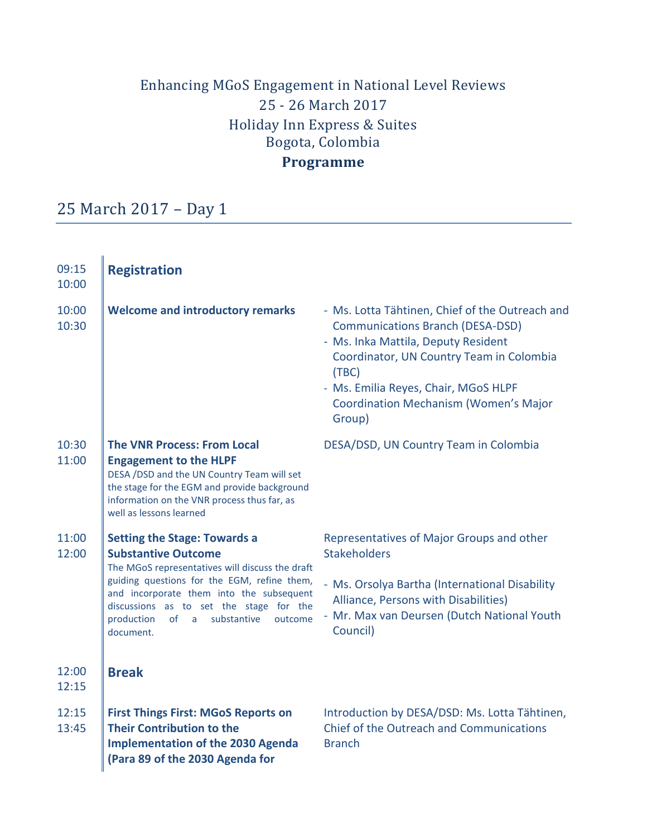# Enhancing MGoS Engagement in National Level Reviews 25 - 26 March 2017 Holiday Inn Express & Suites Bogota, Colombia

## **Programme**

# 25 March 2017 – Day 1

| 09:15<br>10:00 | <b>Registration</b>                                                                                                                                                                                                                                                                                                        |                                                                                                                                                                                                                                                                                          |
|----------------|----------------------------------------------------------------------------------------------------------------------------------------------------------------------------------------------------------------------------------------------------------------------------------------------------------------------------|------------------------------------------------------------------------------------------------------------------------------------------------------------------------------------------------------------------------------------------------------------------------------------------|
| 10:00<br>10:30 | <b>Welcome and introductory remarks</b>                                                                                                                                                                                                                                                                                    | - Ms. Lotta Tähtinen, Chief of the Outreach and<br><b>Communications Branch (DESA-DSD)</b><br>- Ms. Inka Mattila, Deputy Resident<br>Coordinator, UN Country Team in Colombia<br>(TBC)<br>- Ms. Emilia Reyes, Chair, MGoS HLPF<br><b>Coordination Mechanism (Women's Major</b><br>Group) |
| 10:30<br>11:00 | <b>The VNR Process: From Local</b><br><b>Engagement to the HLPF</b><br>DESA /DSD and the UN Country Team will set<br>the stage for the EGM and provide background<br>information on the VNR process thus far, as<br>well as lessons learned                                                                                | DESA/DSD, UN Country Team in Colombia                                                                                                                                                                                                                                                    |
| 11:00<br>12:00 | <b>Setting the Stage: Towards a</b><br><b>Substantive Outcome</b><br>The MGoS representatives will discuss the draft<br>guiding questions for the EGM, refine them,<br>and incorporate them into the subsequent<br>discussions as to set the stage for the<br>production<br>of<br>substantive<br>outcome<br>a<br>document. | Representatives of Major Groups and other<br><b>Stakeholders</b><br>- Ms. Orsolya Bartha (International Disability<br>Alliance, Persons with Disabilities)<br>- Mr. Max van Deursen (Dutch National Youth<br>Council)                                                                    |
| 12:00<br>12:15 | <b>Break</b>                                                                                                                                                                                                                                                                                                               |                                                                                                                                                                                                                                                                                          |
| 12:15<br>13:45 | <b>First Things First: MGoS Reports on</b><br><b>Their Contribution to the</b><br><b>Implementation of the 2030 Agenda</b><br>(Para 89 of the 2030 Agenda for                                                                                                                                                              | Introduction by DESA/DSD: Ms. Lotta Tähtinen,<br>Chief of the Outreach and Communications<br><b>Branch</b>                                                                                                                                                                               |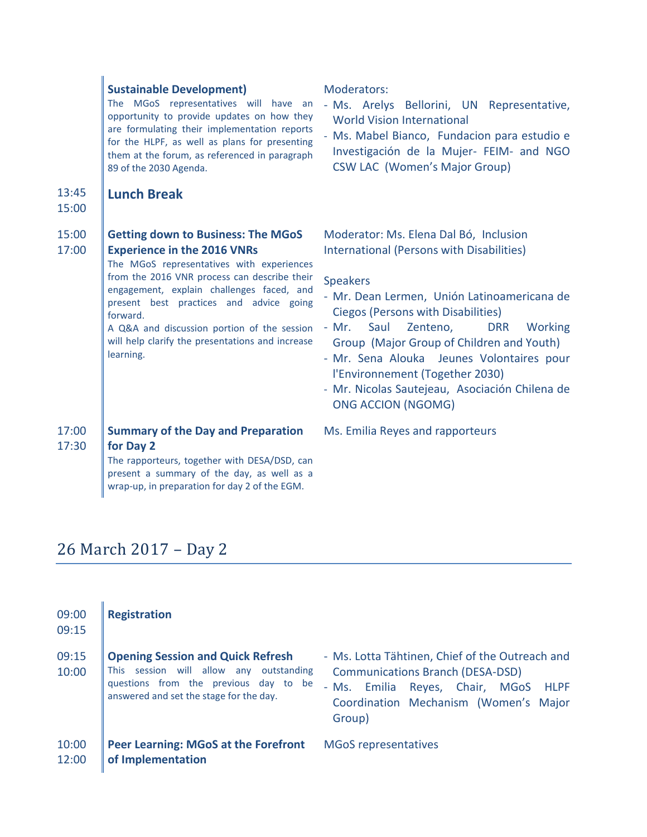### **Sustainable Development)**

The MGoS representatives will have an opportunity to provide updates on how they are formulating their implementation reports for the HLPF, as well as plans for presenting them at the forum, as referenced in paragraph 89 of the 2030 Agenda.

#### 13:45 **Lunch Break**

### 15:00

#### 15:00 17:00 **Getting down to Business: The MGoS Experience in the 2016 VNRs**

The MGoS representatives with experiences from the 2016 VNR process can describe their engagement, explain challenges faced, and present best practices and advice going forward.

A Q&A and discussion portion of the session will help clarify the presentations and increase learning.

17:00 17:30 **Summary of the Day and Preparation for Day 2**

> The rapporteurs, together with DESA/DSD, can present a summary of the day, as well as a wrap-up, in preparation for day 2 of the EGM.

Moderators:

- Ms. Arelys Bellorini, UN Representative, World Vision International
- Ms. Mabel Bianco, Fundacion para estudio e Investigación de la Mujer- FEIM- and NGO CSW LAC (Women's Major Group)

Moderator: Ms. Elena Dal Bó, Inclusion International (Persons with Disabilities)

### **Speakers**

- Mr. Dean Lermen, Unión Latinoamericana de Ciegos (Persons with Disabilities)
- Mr. Saul Zenteno, DRR Working Group (Major Group of Children and Youth)
- Mr. Sena Alouka Jeunes Volontaires pour l'Environnement (Together 2030)
- Mr. Nicolas Sautejeau, Asociación Chilena de ONG ACCION (NGOMG)

Ms. Emilia Reyes and rapporteurs

## 26 March 2017 – Day 2

| 09:00<br>09:15 | <b>Registration</b>                                                                                                                                                     |                                                                                                                                                                                                       |
|----------------|-------------------------------------------------------------------------------------------------------------------------------------------------------------------------|-------------------------------------------------------------------------------------------------------------------------------------------------------------------------------------------------------|
| 09:15<br>10:00 | <b>Opening Session and Quick Refresh</b><br>This session will allow any outstanding<br>questions from the previous day to be<br>answered and set the stage for the day. | - Ms. Lotta Tähtinen, Chief of the Outreach and<br><b>Communications Branch (DESA-DSD)</b><br>Reyes, Chair,<br>- Ms. Emilia<br>MGoS<br><b>HLPF</b><br>Coordination Mechanism (Women's Major<br>Group) |
| 10:00<br>12:00 | <b>Peer Learning: MGoS at the Forefront</b><br>of Implementation                                                                                                        | <b>MGoS</b> representatives                                                                                                                                                                           |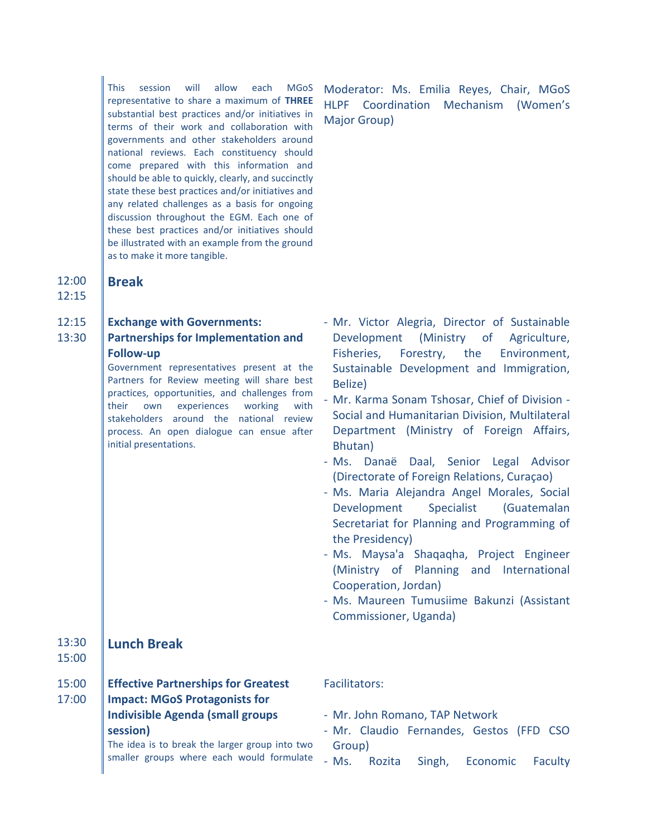This session will allow each MGoS representative to share a maximum of **THREE** substantial best practices and/or initiatives in terms of their work and collaboration with governments and other stakeholders around national reviews. Each constituency should come prepared with this information and should be able to quickly, clearly, and succinctly state these best practices and/or initiatives and any related challenges as a basis for ongoing discussion throughout the EGM. Each one of these best practices and/or initiatives should be illustrated with an example from the ground as to make it more tangible.

12:00 12:15

### 12:15 **Exchange with Governments:**

### 13:30 **Partnerships for Implementation and Follow-up**

**Break**

Government representatives present at the Partners for Review meeting will share best practices, opportunities, and challenges from their own experiences working with stakeholders around the national review process. An open dialogue can ensue after initial presentations.

Moderator: Ms. Emilia Reyes, Chair, MGoS HLPF Coordination Mechanism (Women's Major Group)

- Mr. Victor Alegria, Director of Sustainable Development (Ministry of Agriculture, Fisheries, Forestry, the Environment, Sustainable Development and Immigration, Belize)
- Mr. Karma Sonam Tshosar, Chief of Division Social and Humanitarian Division, Multilateral Department (Ministry of Foreign Affairs, Bhutan)
- Ms. Danaë Daal, Senior Legal Advisor (Directorate of Foreign Relations, Curaçao)
- Ms. Maria Alejandra Angel Morales, Social Development Specialist (Guatemalan Secretariat for Planning and Programming of the Presidency)
- Ms. Maysa'a Shaqaqha, Project Engineer (Ministry of Planning and International Cooperation, Jordan)
- Ms. Maureen Tumusiime Bakunzi (Assistant Commissioner, Uganda)

#### 13:30 **Lunch Break**

15:00

- 15:00 **Effective Partnerships for Greatest**
- 17:00 **Impact: MGoS Protagonists for Indivisible Agenda (small groups session)**

The idea is to break the larger group into two smaller groups where each would formulate

### Facilitators:

- Mr. John Romano, TAP Network
- Mr. Claudio Fernandes, Gestos (FFD CSO Group)
- Ms. Rozita Singh, Economic Faculty